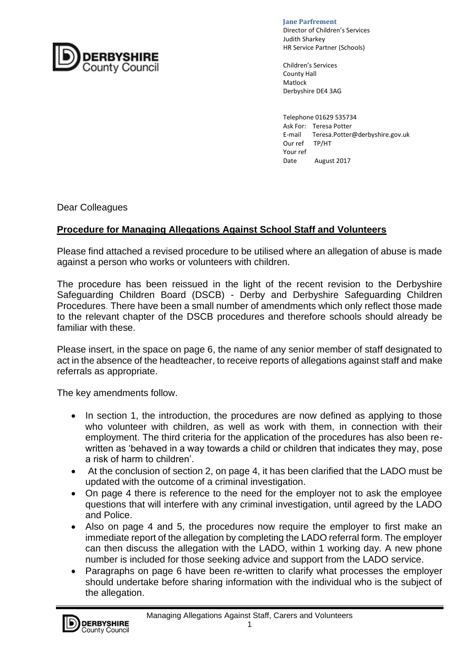

 **Jane Parfrement** 

Director of Children's Services<br>Judith Sharkov Judith Sharkey HR Service Partner (Schools)

> Children's Services County Hall Matlock Derbyshire DE4 3AG

Telephone 01629 535734 Ask For: Teresa Potter E-mail Teresa.Potter@derbyshire.gov.uk Our ref TP/HT Your ref Date August 2017

Dear Colleagues

## **Procedure for Managing Allegations Against School Staff and Volunteers**

Please find attached a revised procedure to be utilised where an allegation of abuse is made against a person who works or volunteers with children.

The procedure has been reissued in the light of the recent revision to the Derbyshire Safeguarding Children Board (DSCB) - Derby and Derbyshire Safeguarding Children Procedures. There have been a small number of amendments which only reflect those made to the relevant chapter of the DSCB procedures and therefore schools should already be familiar with these.

Please insert, in the space on page 6, the name of any senior member of staff designated to act in the absence of the headteacher, to receive reports of allegations against staff and make referrals as appropriate.

The key amendments follow.

- In section 1, the introduction, the procedures are now defined as applying to those who volunteer with children, as well as work with them, in connection with their employment. The third criteria for the application of the procedures has also been rewritten as 'behaved in a way towards a child or children that indicates they may, pose a risk of harm to children'.
- At the conclusion of section 2, on page 4, it has been clarified that the LADO must be updated with the outcome of a criminal investigation.
- On page 4 there is reference to the need for the employer not to ask the employee questions that will interfere with any criminal investigation, until agreed by the LADO and Police.
- Also on page 4 and 5, the procedures now require the employer to first make an immediate report of the allegation by completing the LADO referral form. The employer can then discuss the allegation with the LADO, within 1 working day. A new phone number is included for those seeking advice and support from the LADO service.
- Paragraphs on page 6 have been re-written to clarify what processes the employer should undertake before sharing information with the individual who is the subject of the allegation.

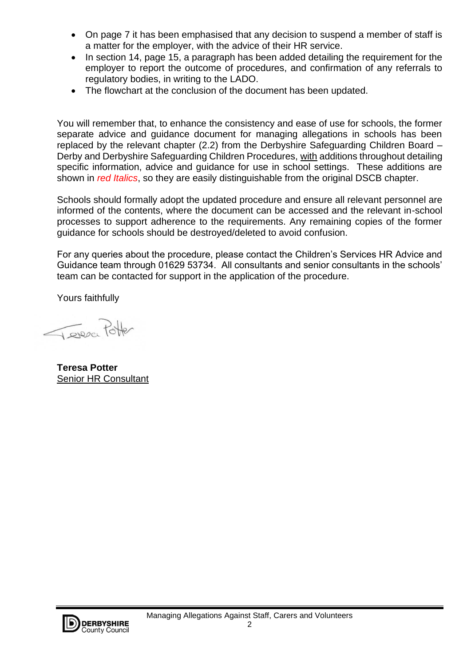- On page 7 it has been emphasised that any decision to suspend a member of staff is a matter for the employer, with the advice of their HR service.
- In section 14, page 15, a paragraph has been added detailing the requirement for the employer to report the outcome of procedures, and confirmation of any referrals to regulatory bodies, in writing to the LADO.
- The flowchart at the conclusion of the document has been updated.

You will remember that, to enhance the consistency and ease of use for schools, the former separate advice and guidance document for managing allegations in schools has been replaced by the relevant chapter (2.2) from the Derbyshire Safeguarding Children Board – Derby and Derbyshire Safeguarding Children Procedures, with additions throughout detailing specific information, advice and guidance for use in school settings. These additions are shown in *red Italics*, so they are easily distinguishable from the original DSCB chapter.

Schools should formally adopt the updated procedure and ensure all relevant personnel are informed of the contents, where the document can be accessed and the relevant in-school processes to support adherence to the requirements. Any remaining copies of the former guidance for schools should be destroyed/deleted to avoid confusion.

For any queries about the procedure, please contact the Children's Services HR Advice and Guidance team through 01629 53734. All consultants and senior consultants in the schools' team can be contacted for support in the application of the procedure.

Yours faithfully

Teresce Potter

**Teresa Potter** Senior HR Consultant

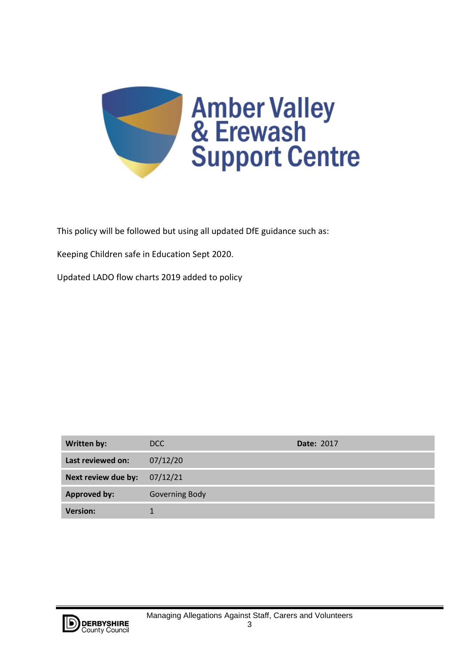

This policy will be followed but using all updated DfE guidance such as:

Keeping Children safe in Education Sept 2020.

Updated LADO flow charts 2019 added to policy

| Written by:         | DCC            | <b>Date: 2017</b> |
|---------------------|----------------|-------------------|
| Last reviewed on:   | 07/12/20       |                   |
| Next review due by: | 07/12/21       |                   |
| <b>Approved by:</b> | Governing Body |                   |
| <b>Version:</b>     |                |                   |

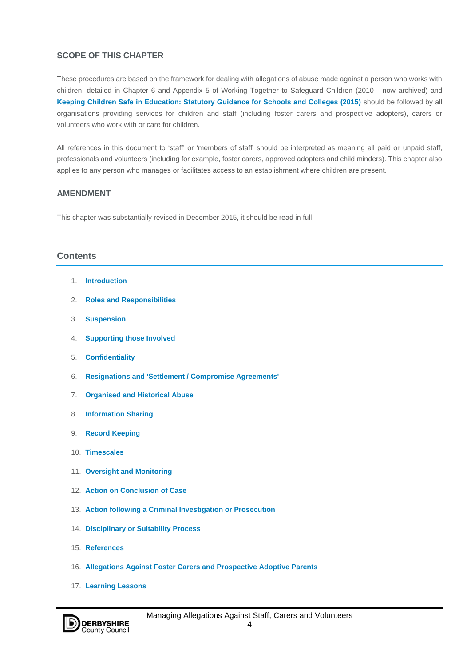### **SCOPE OF THIS CHAPTER**

These procedures are based on the framework for dealing with allegations of abuse made against a person who works with children, detailed in Chapter 6 and Appendix 5 of Working Together to Safeguard Children (2010 - now archived) and **[Keeping Children Safe in Education: Statutory Guidance for Schools and Colleges \(2015\)](https://www.gov.uk/government/uploads/system/uploads/attachment_data/file/372753/Keeping_children_safe_in_education.pdf)** should be followed by all organisations providing services for children and staff (including foster carers and prospective adopters), carers or volunteers who work with or care for children.

All references in this document to 'staff' or 'members of staff' should be interpreted as meaning all paid or unpaid staff, professionals and volunteers (including for example, foster carers, approved adopters and child minders). This chapter also applies to any person who manages or facilitates access to an establishment where children are present.

### **AMENDMENT**

This chapter was substantially revised in December 2015, it should be read in full.

## **Contents**

- 1. **[Introduction](http://derbyshirescbs.proceduresonline.com/chapters/p_alleg_staff_carer_volunteer.html#introduction)**
- 2. **[Roles and Responsibilities](http://derbyshirescbs.proceduresonline.com/chapters/p_alleg_staff_carer_volunteer.html#roles_resp)**
- 3. **[Suspension](http://derbyshirescbs.proceduresonline.com/chapters/p_alleg_staff_carer_volunteer.html#suspen)**
- 4. **[Supporting those Involved](http://derbyshirescbs.proceduresonline.com/chapters/p_alleg_staff_carer_volunteer.html#supp_invol)**
- 5. **[Confidentiality](http://derbyshirescbs.proceduresonline.com/chapters/p_alleg_staff_carer_volunteer.html#confidentiality)**
- 6. **[Resignations and 'Settlement / Compromise Agreements'](http://derbyshirescbs.proceduresonline.com/chapters/p_alleg_staff_carer_volunteer.html#reg_comp_agree)**
- 7. **[Organised and Historical Abuse](http://derbyshirescbs.proceduresonline.com/chapters/p_alleg_staff_carer_volunteer.html#org_his_abuse)**
- 8. **[Information Sharing](http://derbyshirescbs.proceduresonline.com/chapters/p_alleg_staff_carer_volunteer.html#info_share)**
- 9. **[Record Keeping](http://derbyshirescbs.proceduresonline.com/chapters/p_alleg_staff_carer_volunteer.html#rec_keeping)**
- 10. **[Timescales](http://derbyshirescbs.proceduresonline.com/chapters/p_alleg_staff_carer_volunteer.html#timescales)**
- 11. **[Oversight and Monitoring](http://derbyshirescbs.proceduresonline.com/chapters/p_alleg_staff_carer_volunteer.html#oversight_monit)**
- 12. **[Action on Conclusion of Case](http://derbyshirescbs.proceduresonline.com/chapters/p_alleg_staff_carer_volunteer.html#conclusion)**
- 13. **[Action following a Criminal Investigation or Prosecution](http://derbyshirescbs.proceduresonline.com/chapters/p_alleg_staff_carer_volunteer.html#action)**
- 14. **[Disciplinary or Suitability Process](http://derbyshirescbs.proceduresonline.com/chapters/p_alleg_staff_carer_volunteer.html#disciplinary)**
- 15. **[References](http://derbyshirescbs.proceduresonline.com/chapters/p_alleg_staff_carer_volunteer.html#reference)**
- 16. **[Allegations Against Foster Carers and Prospective Adoptive Parents](http://derbyshirescbs.proceduresonline.com/chapters/p_alleg_staff_carer_volunteer.html#alleg_fc)**
- 17. **[Learning Lessons](http://derbyshirescbs.proceduresonline.com/chapters/p_alleg_staff_carer_volunteer.html#learning_lessons)**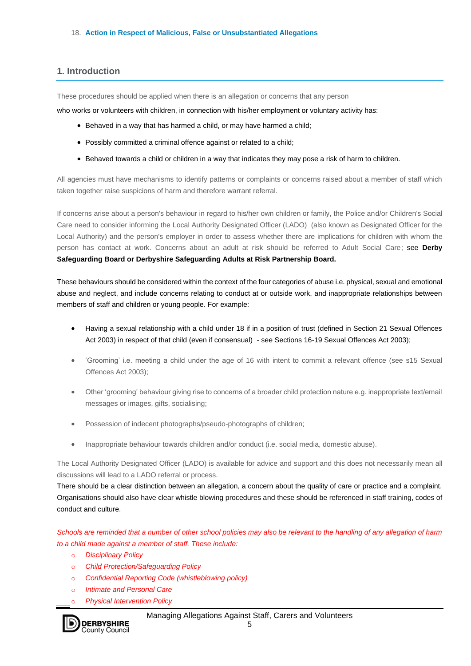### **1. Introduction**

These procedures should be applied when there is an allegation or concerns that any person

who works or volunteers with children, in connection with his/her employment or voluntary activity has:

- Behaved in a way that has harmed a child, or may have harmed a child;
- Possibly committed a criminal offence against or related to a child;
- Behaved towards a child or children in a way that indicates they may pose a risk of harm to children.

All agencies must have mechanisms to identify patterns or complaints or concerns raised about a member of staff which taken together raise suspicions of harm and therefore warrant referral.

If concerns arise about a person's behaviour in regard to his/her own children or family, the Police and/or Children's Social Care need to consider informing the Local Authority Designated Officer (LADO) (also known as Designated Officer for the Local Authority) and the person's employer in order to assess whether there are implications for children with whom the person has contact at work. Concerns about an adult at risk should be referred to Adult Social Care; see **Derby Safeguarding Board or Derbyshire Safeguarding Adults at Risk Partnership Board.**

These behaviours should be considered within the context of the four categories of abuse i.e. physical, sexual and emotional abuse and neglect, and include concerns relating to conduct at or outside work, and inappropriate relationships between members of staff and children or young people. For example:

- Having a sexual relationship with a child under 18 if in a position of trust (defined in Section 21 Sexual Offences Act 2003) in respect of that child (even if consensual) - see Sections 16-19 Sexual Offences Act 2003);
- 'Grooming' i.e. meeting a child under the age of 16 with intent to commit a relevant offence (see s15 Sexual Offences Act 2003);
- Other 'grooming' behaviour giving rise to concerns of a broader child protection nature e.g. inappropriate text/email messages or images, gifts, socialising;
- Possession of indecent photographs/pseudo-photographs of children;
- Inappropriate behaviour towards children and/or conduct (i.e. social media, domestic abuse).

The Local Authority Designated Officer (LADO) is available for advice and support and this does not necessarily mean all discussions will lead to a LADO referral or process.

There should be a clear distinction between an allegation, a concern about the quality of care or practice and a complaint. Organisations should also have clear whistle blowing procedures and these should be referenced in staff training, codes of conduct and culture.

*Schools are reminded that a number of other school policies may also be relevant to the handling of any allegation of harm to a child made against a member of staff. These include:*

- o *Disciplinary Policy*
- o *Child Protection/Safeguarding Policy*
- o *Confidential Reporting Code (whistleblowing policy)*
- o *Intimate and Personal Care*
- o *Physical Intervention Policy*

Managing Allegations Against Staff, Carers and Volunteers

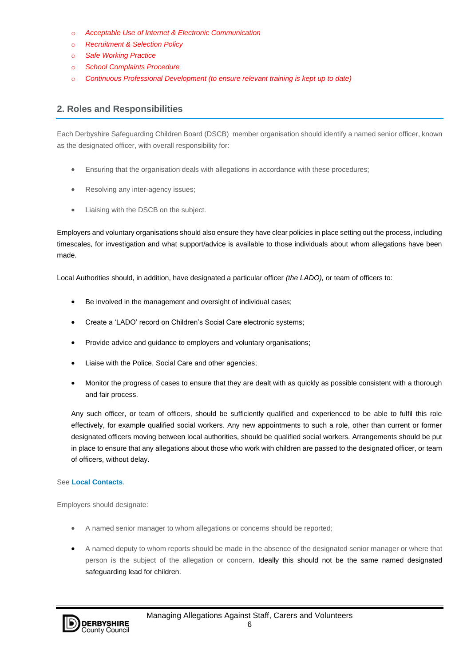- o *Acceptable Use of Internet & Electronic Communication*
- o *Recruitment & Selection Policy*
- o *Safe Working Practice*
- o *School Complaints Procedure*
- o *Continuous Professional Development (to ensure relevant training is kept up to date)*

## **2. Roles and Responsibilities**

Each Derbyshire Safeguarding Children Board (DSCB) member organisation should identify a named senior officer, known as the designated officer, with overall responsibility for:

- Ensuring that the organisation deals with allegations in accordance with these procedures;
- Resolving any inter-agency issues;
- Liaising with the DSCB on the subject.

Employers and voluntary organisations should also ensure they have clear policies in place setting out the process, including timescales, for investigation and what support/advice is available to those individuals about whom allegations have been made.

Local Authorities should, in addition, have designated a particular officer *(the LADO),* or team of officers to:

- Be involved in the management and oversight of individual cases;
- Create a 'LADO' record on Children's Social Care electronic systems;
- Provide advice and guidance to employers and voluntary organisations;
- Liaise with the Police, Social Care and other agencies;
- Monitor the progress of cases to ensure that they are dealt with as quickly as possible consistent with a thorough and fair process.

Any such officer, or team of officers, should be sufficiently qualified and experienced to be able to fulfil this role effectively, for example qualified social workers. Any new appointments to such a role, other than current or former designated officers moving between local authorities, should be qualified social workers. Arrangements should be put in place to ensure that any allegations about those who work with children are passed to the designated officer, or team of officers, without delay.

#### See **[Local Contacts](http://derbyshirescbs.proceduresonline.com/chapters/pr_contacts.html)**.

Employers should designate:

- A named senior manager to whom allegations or concerns should be reported;
- A named deputy to whom reports should be made in the absence of the designated senior manager or where that person is the subject of the allegation or concern. Ideally this should not be the same named designated safeguarding lead for children.

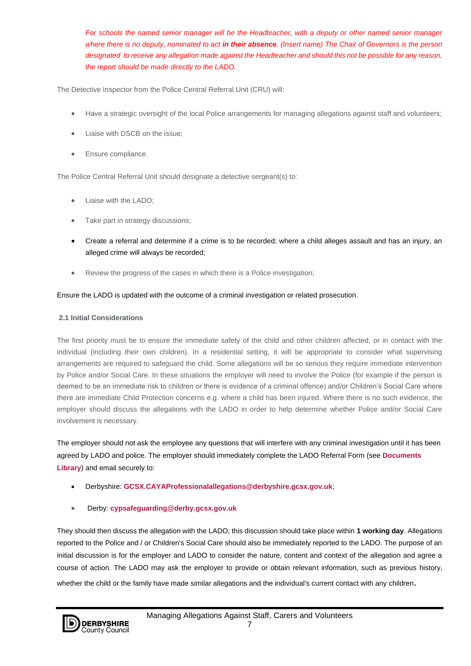*For schools the named senior manager will be the Headteacher, with a deputy or other named senior manager where there is no deputy, nominated to act in their absence. (Insert name) The Chair of Governors is the person designated to receive any allegation made against the Headteacher and should this not be possible for any reason, the report should be made directly to the LADO.* 

The Detective Inspector from the Police Central Referral Unit (CRU) will:

- Have a strategic oversight of the local Police arrangements for managing allegations against staff and volunteers;
- Liaise with DSCB on the issue;
- Ensure compliance.

The Police Central Referral Unit should designate a detective sergeant(s) to:

- Liaise with the LADO;
- Take part in strategy discussions;
- Create a referral and determine if a crime is to be recorded; where a child alleges assault and has an injury, an alleged crime will always be recorded;
- Review the progress of the cases in which there is a Police investigation;

#### Ensure the LADO is updated with the outcome of a criminal investigation or related prosecution.

#### **2.1 Initial Considerations**

The first priority must be to ensure the immediate safety of the child and other children affected, or in contact with the individual (including their own children). In a residential setting, it will be appropriate to consider what supervising arrangements are required to safeguard the child. Some allegations will be so serious they require immediate intervention by Police and/or Social Care. In these situations the employer will need to involve the Police (for example if the person is deemed to be an immediate risk to children or there is evidence of a criminal offence) and/or Children's Social Care where there are immediate Child Protection concerns e.g. where a child has been injured. Where there is no such evidence, the employer should discuss the allegations with the LADO in order to help determine whether Police and/or Social Care involvement is necessary.

The employer should not ask the employee any questions that will interfere with any criminal investigation until it has been agreed by LADO and police. The employer should immediately complete the LADO Referral Form (see **[Documents](http://derbyshirescbs.proceduresonline.com/docs_library.html)  [Library](http://derbyshirescbs.proceduresonline.com/docs_library.html)**) and email securely to:

- Derbyshire: **[GCSX.CAYAProfessionalallegations@derbyshire.gcsx.gov.uk](mailto:GCSX.CAYAProfessionalallegations@derbyshire.gcsx.gov.uk)**;
- Derby: **[cypsafeguarding@derby.gcsx.gov.uk](mailto:cypsafeguarding@derby.gcsx.gov.uk)**

They should then discuss the allegation with the LADO; this discussion should take place within **1 working day**. Allegations reported to the Police and / or Children's Social Care should also be immediately reported to the LADO. The purpose of an initial discussion is for the employer and LADO to consider the nature, content and context of the allegation and agree a course of action. The LADO may ask the employer to provide or obtain relevant information, such as previous history, whether the child or the family have made similar allegations and the individual's current contact with any children.

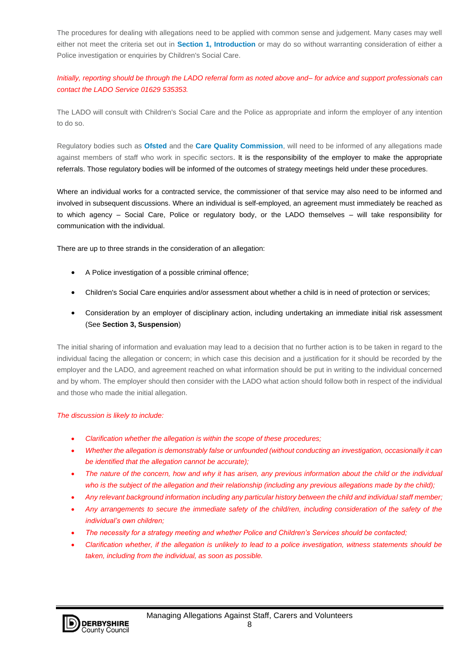The procedures for dealing with allegations need to be applied with common sense and judgement. Many cases may well either not meet the criteria set out in **[Section 1, Introduction](http://derbyshirescbs.proceduresonline.com/chapters/p_alleg_staff_carer_volunteer.html#introduction)** or may do so without warranting consideration of either a Police investigation or enquiries by Children's Social Care.

## *Initially, reporting should be through the LADO referral form as noted above and– for advice and support professionals can contact the LADO Service 01629 535353.*

The LADO will consult with Children's Social Care and the Police as appropriate and inform the employer of any intention to do so.

Regulatory bodies such as **[Ofsted](http://trixresources.proceduresonline.com/nat_key/keywords/office_standards_edu.html)** and the **[Care Quality Commission](http://trixresources.proceduresonline.com/nat_key/keywords/cqc.html)**, will need to be informed of any allegations made against members of staff who work in specific sectors. It is the responsibility of the employer to make the appropriate referrals. Those regulatory bodies will be informed of the outcomes of strategy meetings held under these procedures.

Where an individual works for a contracted service, the commissioner of that service may also need to be informed and involved in subsequent discussions. Where an individual is self-employed, an agreement must immediately be reached as to which agency – Social Care, Police or regulatory body, or the LADO themselves – will take responsibility for communication with the individual.

There are up to three strands in the consideration of an allegation:

- A Police investigation of a possible criminal offence;
- Children's Social Care enquiries and/or assessment about whether a child is in need of protection or services;
- Consideration by an employer of disciplinary action, including undertaking an immediate initial risk assessment (See **Section 3, Suspension**)

The initial sharing of information and evaluation may lead to a decision that no further action is to be taken in regard to the individual facing the allegation or concern; in which case this decision and a justification for it should be recorded by the employer and the LADO, and agreement reached on what information should be put in writing to the individual concerned and by whom. The employer should then consider with the LADO what action should follow both in respect of the individual and those who made the initial allegation.

#### *The discussion is likely to include:*

- *Clarification whether the allegation is within the scope of these procedures;*
- *Whether the allegation is demonstrably false or unfounded (without conducting an investigation, occasionally it can be identified that the allegation cannot be accurate);*
- *The nature of the concern, how and why it has arisen, any previous information about the child or the individual who is the subject of the allegation and their relationship (including any previous allegations made by the child);*
- *Any relevant background information including any particular history between the child and individual staff member;*
- *Any arrangements to secure the immediate safety of the child/ren, including consideration of the safety of the individual's own children;*
- *The necessity for a strategy meeting and whether Police and Children's Services should be contacted;*
- *Clarification whether, if the allegation is unlikely to lead to a police investigation, witness statements should be taken, including from the individual, as soon as possible.*

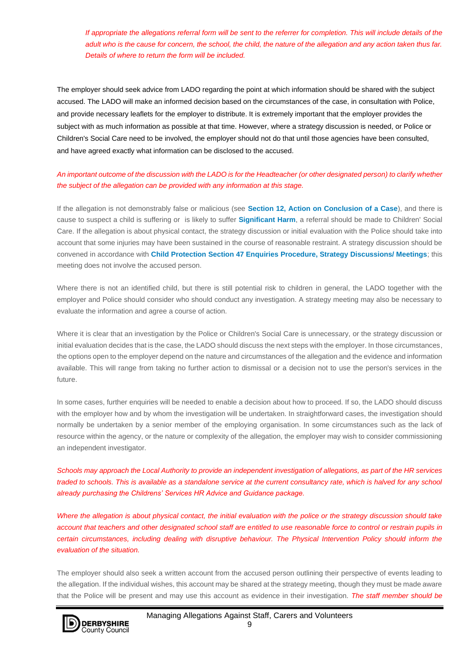*If appropriate the allegations referral form will be sent to the referrer for completion. This will include details of the adult who is the cause for concern, the school, the child, the nature of the allegation and any action taken thus far. Details of where to return the form will be included.*

The employer should seek advice from LADO regarding the point at which information should be shared with the subject accused. The LADO will make an informed decision based on the circumstances of the case, in consultation with Police, and provide necessary leaflets for the employer to distribute. It is extremely important that the employer provides the subject with as much information as possible at that time. However, where a strategy discussion is needed, or Police or Children's Social Care need to be involved, the employer should not do that until those agencies have been consulted, and have agreed exactly what information can be disclosed to the accused.

### *An important outcome of the discussion with the LADO is for the Headteacher (or other designated person) to clarify whether the subject of the allegation can be provided with any information at this stage.*

If the allegation is not demonstrably false or malicious (see **[Section 12, Action on Conclusion of a Case](http://derbyshirescbs.proceduresonline.com/chapters/p_alleg_staff_carer_volunteer.html#conclusion)**), and there is cause to suspect a child is suffering or is likely to suffer **[Significant Harm](http://trixresources.proceduresonline.com/nat_key/keywords/significant_harm.html)**, a referral should be made to Children' Social Care. If the allegation is about physical contact, the strategy discussion or initial evaluation with the Police should take into account that some injuries may have been sustained in the course of reasonable restraint. A strategy discussion should be convened in accordance with **[Child Protection Section 47 Enquiries Procedure, Strategy Discussions/ Meetings](http://derbyshirescbs.proceduresonline.com/chapters/p_cp_s47_enq.html#strategy)**; this meeting does not involve the accused person.

Where there is not an identified child, but there is still potential risk to children in general, the LADO together with the employer and Police should consider who should conduct any investigation. A strategy meeting may also be necessary to evaluate the information and agree a course of action.

Where it is clear that an investigation by the Police or Children's Social Care is unnecessary, or the strategy discussion or initial evaluation decides that is the case, the LADO should discuss the next steps with the employer. In those circumstances, the options open to the employer depend on the nature and circumstances of the allegation and the evidence and information available. This will range from taking no further action to dismissal or a decision not to use the person's services in the future.

In some cases, further enquiries will be needed to enable a decision about how to proceed. If so, the LADO should discuss with the employer how and by whom the investigation will be undertaken. In straightforward cases, the investigation should normally be undertaken by a senior member of the employing organisation. In some circumstances such as the lack of resource within the agency, or the nature or complexity of the allegation, the employer may wish to consider commissioning an independent investigator.

*Schools may approach the Local Authority to provide an independent investigation of allegations, as part of the HR services traded to schools. This is available as a standalone service at the current consultancy rate, which is halved for any school already purchasing the Childrens' Services HR Advice and Guidance package.* 

*Where the allegation is about physical contact, the initial evaluation with the police or the strategy discussion should take account that teachers and other designated school staff are entitled to use reasonable force to control or restrain pupils in certain circumstances, including dealing with disruptive behaviour. The Physical Intervention Policy should inform the evaluation of the situation.*

The employer should also seek a written account from the accused person outlining their perspective of events leading to the allegation. If the individual wishes, this account may be shared at the strategy meeting, though they must be made aware that the Police will be present and may use this account as evidence in their investigation. *The staff member should be* 

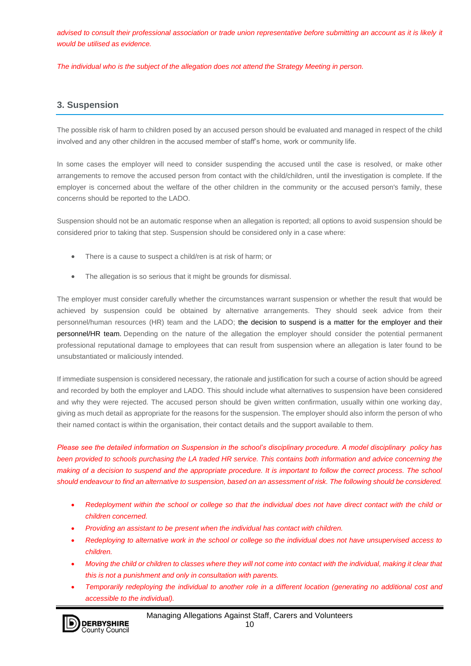advised to consult their professional association or trade union representative before submitting an account as it is likely it *would be utilised as evidence.*

*The individual who is the subject of the allegation does not attend the Strategy Meeting in person.*

## **3. Suspension**

The possible risk of harm to children posed by an accused person should be evaluated and managed in respect of the child involved and any other children in the accused member of staff's home, work or community life.

In some cases the employer will need to consider suspending the accused until the case is resolved, or make other arrangements to remove the accused person from contact with the child/children, until the investigation is complete. If the employer is concerned about the welfare of the other children in the community or the accused person's family, these concerns should be reported to the LADO.

Suspension should not be an automatic response when an allegation is reported; all options to avoid suspension should be considered prior to taking that step. Suspension should be considered only in a case where:

- There is a cause to suspect a child/ren is at risk of harm; or
- The allegation is so serious that it might be grounds for dismissal.

The employer must consider carefully whether the circumstances warrant suspension or whether the result that would be achieved by suspension could be obtained by alternative arrangements. They should seek advice from their personnel/human resources (HR) team and the LADO; the decision to suspend is a matter for the employer and their personnel/HR team. Depending on the nature of the allegation the employer should consider the potential permanent professional reputational damage to employees that can result from suspension where an allegation is later found to be unsubstantiated or maliciously intended.

If immediate suspension is considered necessary, the rationale and justification for such a course of action should be agreed and recorded by both the employer and LADO. This should include what alternatives to suspension have been considered and why they were rejected. The accused person should be given written confirmation, usually within one working day, giving as much detail as appropriate for the reasons for the suspension. The employer should also inform the person of who their named contact is within the organisation, their contact details and the support available to them.

*Please see the detailed information on Suspension in the school's disciplinary procedure. A model disciplinary policy has been provided to schools purchasing the LA traded HR service. This contains both information and advice concerning the making of a decision to suspend and the appropriate procedure. It is important to follow the correct process. The school should endeavour to find an alternative to suspension, based on an assessment of risk. The following should be considered.*

- *Redeployment within the school or college so that the individual does not have direct contact with the child or children concerned.*
- *Providing an assistant to be present when the individual has contact with children.*
- *Redeploying to alternative work in the school or college so the individual does not have unsupervised access to children.*
- *Moving the child or children to classes where they will not come into contact with the individual, making it clear that this is not a punishment and only in consultation with parents.*
- *Temporarily redeploying the individual to another role in a different location (generating no additional cost and accessible to the individual).*

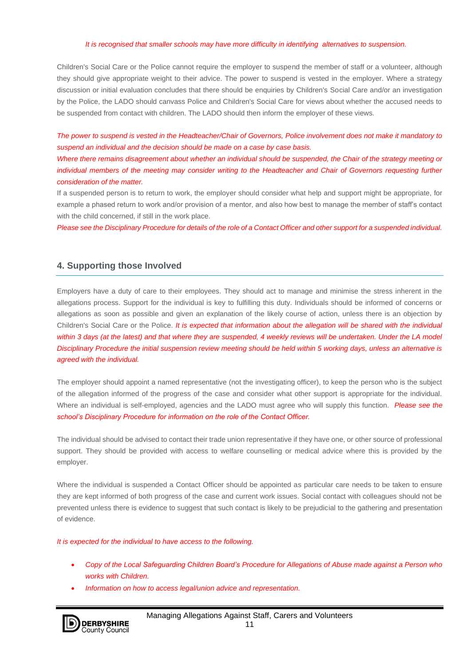#### *It is recognised that smaller schools may have more difficulty in identifying alternatives to suspension.*

Children's Social Care or the Police cannot require the employer to suspend the member of staff or a volunteer, although they should give appropriate weight to their advice. The power to suspend is vested in the employer. Where a strategy discussion or initial evaluation concludes that there should be enquiries by Children's Social Care and/or an investigation by the Police, the LADO should canvass Police and Children's Social Care for views about whether the accused needs to be suspended from contact with children. The LADO should then inform the employer of these views.

*The power to suspend is vested in the Headteacher/Chair of Governors, Police involvement does not make it mandatory to suspend an individual and the decision should be made on a case by case basis.*

*Where there remains disagreement about whether an individual should be suspended, the Chair of the strategy meeting or individual members of the meeting may consider writing to the Headteacher and Chair of Governors requesting further consideration of the matter.*

If a suspended person is to return to work, the employer should consider what help and support might be appropriate, for example a phased return to work and/or provision of a mentor, and also how best to manage the member of staff's contact with the child concerned, if still in the work place.

*Please see the Disciplinary Procedure for details of the role of a Contact Officer and other support for a suspended individual.*

### **4. Supporting those Involved**

Employers have a duty of care to their employees. They should act to manage and minimise the stress inherent in the allegations process. Support for the individual is key to fulfilling this duty. Individuals should be informed of concerns or allegations as soon as possible and given an explanation of the likely course of action, unless there is an objection by Children's Social Care or the Police. *It is expected that information about the allegation will be shared with the individual*  within 3 days (at the latest) and that where they are suspended, 4 weekly reviews will be undertaken. Under the LA model *Disciplinary Procedure the initial suspension review meeting should be held within 5 working days, unless an alternative is agreed with the individual.* 

The employer should appoint a named representative (not the investigating officer), to keep the person who is the subject of the allegation informed of the progress of the case and consider what other support is appropriate for the individual. Where an individual is self-employed, agencies and the LADO must agree who will supply this function. *Please see the school's Disciplinary Procedure for information on the role of the Contact Officer.*

The individual should be advised to contact their trade union representative if they have one, or other source of professional support. They should be provided with access to welfare counselling or medical advice where this is provided by the employer.

Where the individual is suspended a Contact Officer should be appointed as particular care needs to be taken to ensure they are kept informed of both progress of the case and current work issues. Social contact with colleagues should not be prevented unless there is evidence to suggest that such contact is likely to be prejudicial to the gathering and presentation of evidence.

*It is expected for the individual to have access to the following.*

- *Copy of the Local Safeguarding Children Board's Procedure for Allegations of Abuse made against a Person who works with Children.*
- *Information on how to access legal/union advice and representation.*

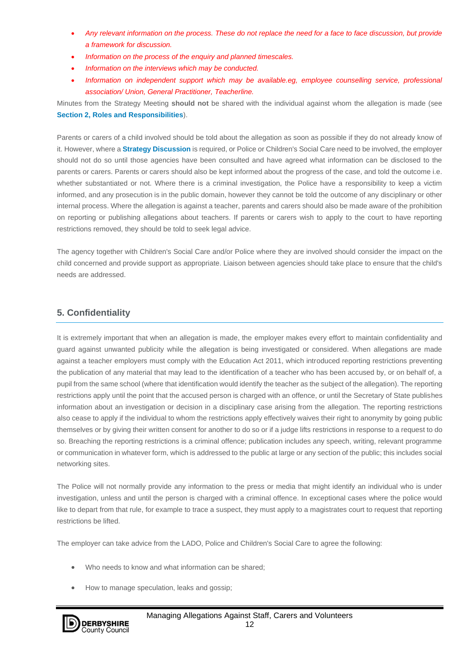- *Any relevant information on the process. These do not replace the need for a face to face discussion, but provide a framework for discussion.*
- *Information on the process of the enquiry and planned timescales.*
- *Information on the interviews which may be conducted.*
- *Information on independent support which may be available.eg, employee counselling service, professional association/ Union, General Practitioner, Teacherline.*

Minutes from the Strategy Meeting **should not** be shared with the individual against whom the allegation is made (see **[Section 2, Roles and Responsibilities](http://derbyshirescbs.proceduresonline.com/chapters/p_alleg_staff_carer_volunteer.html#roles_resp)**).

Parents or carers of a child involved should be told about the allegation as soon as possible if they do not already know of it. However, where a **[Strategy Discussion](http://trixresources.proceduresonline.com/nat_key/keywords/strategy_discussion.html)** is required, or Police or Children's Social Care need to be involved, the employer should not do so until those agencies have been consulted and have agreed what information can be disclosed to the parents or carers. Parents or carers should also be kept informed about the progress of the case, and told the outcome i.e. whether substantiated or not. Where there is a criminal investigation, the Police have a responsibility to keep a victim informed, and any prosecution is in the public domain, however they cannot be told the outcome of any disciplinary or other internal process. Where the allegation is against a teacher, parents and carers should also be made aware of the prohibition on reporting or publishing allegations about teachers. If parents or carers wish to apply to the court to have reporting restrictions removed, they should be told to seek legal advice.

The agency together with Children's Social Care and/or Police where they are involved should consider the impact on the child concerned and provide support as appropriate. Liaison between agencies should take place to ensure that the child's needs are addressed.

## **5. Confidentiality**

It is extremely important that when an allegation is made, the employer makes every effort to maintain confidentiality and guard against unwanted publicity while the allegation is being investigated or considered. When allegations are made against a teacher employers must comply with the Education Act 2011, which introduced reporting restrictions preventing the publication of any material that may lead to the identification of a teacher who has been accused by, or on behalf of, a pupil from the same school (where that identification would identify the teacher as the subject of the allegation). The reporting restrictions apply until the point that the accused person is charged with an offence, or until the Secretary of State publishes information about an investigation or decision in a disciplinary case arising from the allegation. The reporting restrictions also cease to apply if the individual to whom the restrictions apply effectively waives their right to anonymity by going public themselves or by giving their written consent for another to do so or if a judge lifts restrictions in response to a request to do so. Breaching the reporting restrictions is a criminal offence; publication includes any speech, writing, relevant programme or communication in whatever form, which is addressed to the public at large or any section of the public; this includes social networking sites.

The Police will not normally provide any information to the press or media that might identify an individual who is under investigation, unless and until the person is charged with a criminal offence. In exceptional cases where the police would like to depart from that rule, for example to trace a suspect, they must apply to a magistrates court to request that reporting restrictions be lifted.

The employer can take advice from the LADO, Police and Children's Social Care to agree the following:

- Who needs to know and what information can be shared;
- How to manage speculation, leaks and gossip;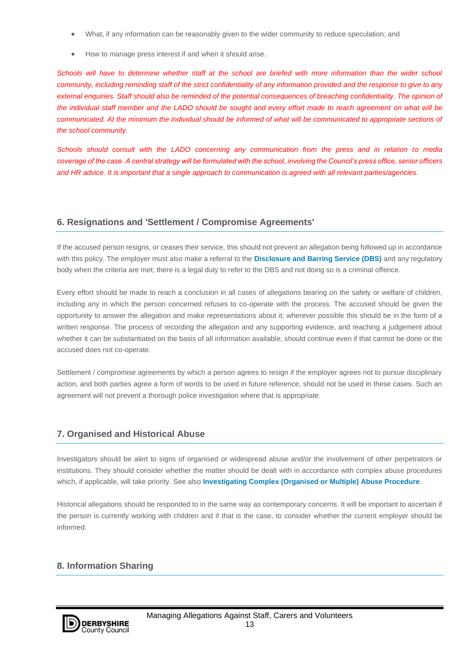- What, if any information can be reasonably given to the wider community to reduce speculation; and
- How to manage press interest if and when it should arise.

*Schools will have to determine whether staff at the school are briefed with more information than the wider school community, including reminding staff of the strict confidentiality of any information provided and the response to give to any external enquiries. Staff should also be reminded of the potential consequences of breaching confidentiality. The opinion of the individual staff member and the LADO should be sought and every effort made to reach agreement on what will be communicated. At the minimum the individual should be informed of what will be communicated to appropriate sections of the school community.*

*Schools should consult with the LADO concerning any communication from the press and in relation to media coverage of the case. A central strategy will be formulated with the school, involving the Council's press office, senior officers and HR advice. It is important that a single approach to communication is agreed with all relevant parties/agencies.*

## **6. Resignations and 'Settlement / Compromise Agreements'**

If the accused person resigns, or ceases their service, this should not prevent an allegation being followed up in accordance with this policy. The employer must also make a referral to the **[Disclosure and Barring Service \(DBS\)](http://trixresources.proceduresonline.com/nat_key/keywords/dis_barring_service.html)** and any regulatory body when the criteria are met; there is a legal duty to refer to the DBS and not doing so is a criminal offence.

Every effort should be made to reach a conclusion in all cases of allegations bearing on the safety or welfare of children, including any in which the person concerned refuses to co-operate with the process. The accused should be given the opportunity to answer the allegation and make representations about it; wherever possible this should be in the form of a written response. The process of recording the allegation and any supporting evidence, and reaching a judgement about whether it can be substantiated on the basis of all information available, should continue even if that cannot be done or the accused does not co-operate.

Settlement / compromise agreements by which a person agrees to resign if the employer agrees not to pursue disciplinary action, and both parties agree a form of words to be used in future reference, should not be used in these cases. Such an agreement will not prevent a thorough police investigation where that is appropriate.

## **7. Organised and Historical Abuse**

Investigators should be alert to signs of organised or widespread abuse and/or the involvement of other perpetrators or institutions. They should consider whether the matter should be dealt with in accordance with complex abuse procedures which, if applicable, will take priority. See also **[Investigating Complex \(Organised or Multiple\) Abuse Procedure](http://derbyshirescbs.proceduresonline.com/chapters/p_invest_complex_abuse.html)**.

Historical allegations should be responded to in the same way as contemporary concerns. It will be important to ascertain if the person is currently working with children and if that is the case, to consider whether the current employer should be informed.

## **8. Information Sharing**

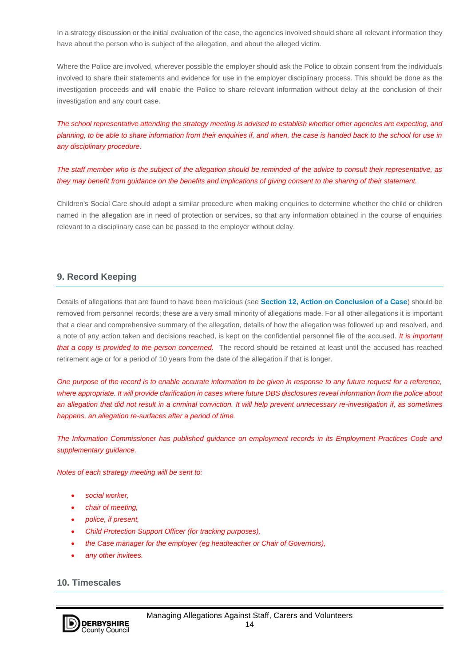In a strategy discussion or the initial evaluation of the case, the agencies involved should share all relevant information they have about the person who is subject of the allegation, and about the alleged victim.

Where the Police are involved, wherever possible the employer should ask the Police to obtain consent from the individuals involved to share their statements and evidence for use in the employer disciplinary process. This should be done as the investigation proceeds and will enable the Police to share relevant information without delay at the conclusion of their investigation and any court case.

*The school representative attending the strategy meeting is advised to establish whether other agencies are expecting, and planning, to be able to share information from their enquiries if, and when, the case is handed back to the school for use in any disciplinary procedure.*

*The staff member who is the subject of the allegation should be reminded of the advice to consult their representative, as they may benefit from guidance on the benefits and implications of giving consent to the sharing of their statement.*

Children's Social Care should adopt a similar procedure when making enquiries to determine whether the child or children named in the allegation are in need of protection or services, so that any information obtained in the course of enquiries relevant to a disciplinary case can be passed to the employer without delay.

## **9. Record Keeping**

Details of allegations that are found to have been malicious (see **[Section 12, Action on Conclusion of a Case](http://derbyshirescbs.proceduresonline.com/chapters/p_alleg_staff_carer_volunteer.html#conclusion)**) should be removed from personnel records; these are a very small minority of allegations made. For all other allegations it is important that a clear and comprehensive summary of the allegation, details of how the allegation was followed up and resolved, and a note of any action taken and decisions reached, is kept on the confidential personnel file of the accused. *It is important that a copy is provided to the person concerned.* The record should be retained at least until the accused has reached retirement age or for a period of 10 years from the date of the allegation if that is longer.

*One purpose of the record is to enable accurate information to be given in response to any future request for a reference, where appropriate. It will provide clarification in cases where future DBS disclosures reveal information from the police about an allegation that did not result in a criminal conviction. It will help prevent unnecessary re-investigation if, as sometimes happens, an allegation re-surfaces after a period of time.*

*The Information Commissioner has published guidance on employment records in its Employment Practices Code and supplementary guidance.*

*Notes of each strategy meeting will be sent to:*

- *social worker,*
- *chair of meeting,*
- *police, if present,*
- *Child Protection Support Officer (for tracking purposes),*
- *the Case manager for the employer (eg headteacher or Chair of Governors),*
- *any other invitees.*

#### **10. Timescales**

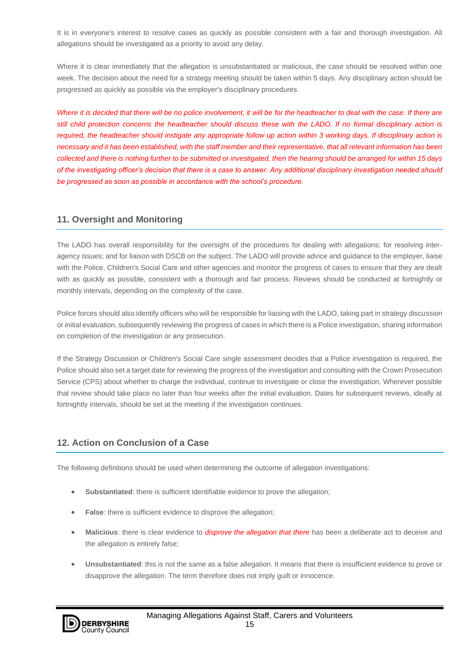It is in everyone's interest to resolve cases as quickly as possible consistent with a fair and thorough investigation. All allegations should be investigated as a priority to avoid any delay.

Where it is clear immediately that the allegation is unsubstantiated or malicious, the case should be resolved within one week. The decision about the need for a strategy meeting should be taken within 5 days. Any disciplinary action should be progressed as quickly as possible via the employer's disciplinary procedures.

*Where it is decided that there will be no police involvement, it will be for the headteacher to deal with the case. If there are still child protection concerns the headteacher should discuss these with the LADO. If no formal disciplinary action is required, the headteacher should instigate any appropriate follow up action within 3 working days. If disciplinary action is necessary and it has been established, with the staff member and their representative, that all relevant information has been collected and there is nothing further to be submitted or investigated, then the hearing should be arranged for within 15 days of the investigating officer's decision that there is a case to answer. Any additional disciplinary investigation needed should be progressed as soon as possible in accordance with the school's procedure.*

## **11. Oversight and Monitoring**

The LADO has overall responsibility for the oversight of the procedures for dealing with allegations; for resolving interagency issues; and for liaison with DSCB on the subject. The LADO will provide advice and guidance to the employer, liaise with the Police, Children's Social Care and other agencies and monitor the progress of cases to ensure that they are dealt with as quickly as possible, consistent with a thorough and fair process. Reviews should be conducted at fortnightly or monthly intervals, depending on the complexity of the case.

Police forces should also identify officers who will be responsible for liaising with the LADO, taking part in strategy discussion or initial evaluation, subsequently reviewing the progress of cases in which there is a Police investigation, sharing information on completion of the investigation or any prosecution.

If the Strategy Discussion or Children's Social Care single assessment decides that a Police investigation is required, the Police should also set a target date for reviewing the progress of the investigation and consulting with the Crown Prosecution Service (CPS) about whether to charge the individual, continue to investigate or close the investigation. Wherever possible that review should take place no later than four weeks after the initial evaluation. Dates for subsequent reviews, ideally at fortnightly intervals, should be set at the meeting if the investigation continues.

## **12. Action on Conclusion of a Case**

The following definitions should be used when determining the outcome of allegation investigations:

- **Substantiated**: there is sufficient identifiable evidence to prove the allegation;
- **False:** there is sufficient evidence to disprove the allegation;
- **Malicious**: there is clear evidence to *disprove the allegation that there* has been a deliberate act to deceive and the allegation is entirely false;
- **Unsubstantiated**: this is not the same as a false allegation. It means that there is insufficient evidence to prove or disapprove the allegation. The term therefore does not imply guilt or innocence.

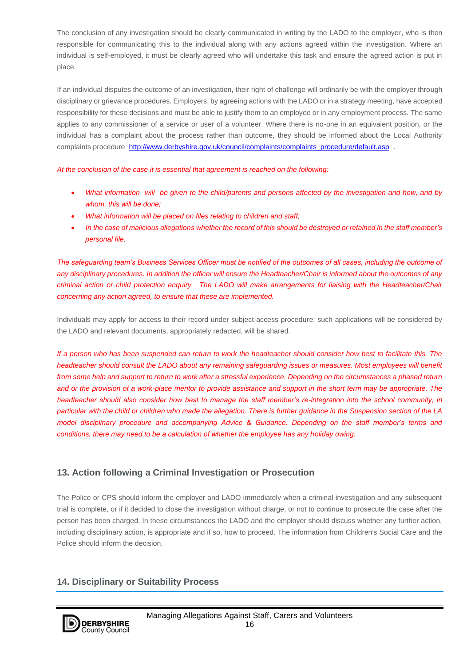The conclusion of any investigation should be clearly communicated in writing by the LADO to the employer, who is then responsible for communicating this to the individual along with any actions agreed within the investigation. Where an individual is self-employed, it must be clearly agreed who will undertake this task and ensure the agreed action is put in place.

If an individual disputes the outcome of an investigation, their right of challenge will ordinarily be with the employer through disciplinary or grievance procedures. Employers, by agreeing actions with the LADO or in a strategy meeting, have accepted responsibility for these decisions and must be able to justify them to an employee or in any employment process. The same applies to any commissioner of a service or user of a volunteer. Where there is no-one in an equivalent position, or the individual has a complaint about the process rather than outcome, they should be informed about the Local Authority complaints procedure http://www.derbyshire.gov.uk/council/complaints/complaints procedure/default.asp .

*At the conclusion of the case it is essential that agreement is reached on the following:*

- *What information will be given to the child/parents and persons affected by the investigation and how, and by whom, this will be done;*
- *What information will be placed on files relating to children and staff;*
- *In the case of malicious allegations whether the record of this should be destroyed or retained in the staff member's personal file.*

*The safeguarding team's Business Services Officer must be notified of the outcomes of all cases, including the outcome of any disciplinary procedures. In addition the officer will ensure the Headteacher/Chair is informed about the outcomes of any criminal action or child protection enquiry. The LADO will make arrangements for liaising with the Headteacher/Chair concerning any action agreed, to ensure that these are implemented.*

Individuals may apply for access to their record under subject access procedure; such applications will be considered by the LADO and relevant documents, appropriately redacted, will be shared.

*If a person who has been suspended can return to work the headteacher should consider how best to facilitate this. The headteacher should consult the LADO about any remaining safeguarding issues or measures. Most employees will benefit from some help and support to return to work after a stressful experience. Depending on the circumstances a phased return and or the provision of a work-place mentor to provide assistance and support in the short term may be appropriate. The headteacher should also consider how best to manage the staff member's re-integration into the school community, in particular with the child or children who made the allegation. There is further guidance in the Suspension section of the LA model disciplinary procedure and accompanying Advice & Guidance. Depending on the staff member's terms and conditions, there may need to be a calculation of whether the employee has any holiday owing.*

## **13. Action following a Criminal Investigation or Prosecution**

The Police or CPS should inform the employer and LADO immediately when a criminal investigation and any subsequent trial is complete, or if it decided to close the investigation without charge, or not to continue to prosecute the case after the person has been charged. In these circumstances the LADO and the employer should discuss whether any further action, including disciplinary action, is appropriate and if so, how to proceed. The information from Children's Social Care and the Police should inform the decision.

## **14. Disciplinary or Suitability Process**

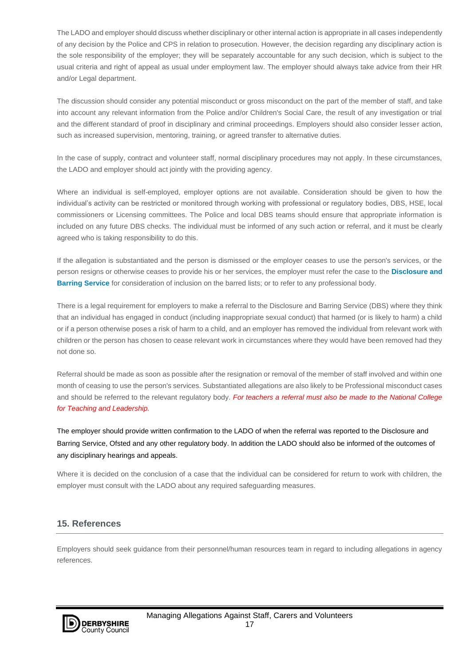The LADO and employer should discuss whether disciplinary or other internal action is appropriate in all cases independently of any decision by the Police and CPS in relation to prosecution. However, the decision regarding any disciplinary action is the sole responsibility of the employer; they will be separately accountable for any such decision, which is subject to the usual criteria and right of appeal as usual under employment law. The employer should always take advice from their HR and/or Legal department.

The discussion should consider any potential misconduct or gross misconduct on the part of the member of staff, and take into account any relevant information from the Police and/or Children's Social Care, the result of any investigation or trial and the different standard of proof in disciplinary and criminal proceedings. Employers should also consider lesser action, such as increased supervision, mentoring, training, or agreed transfer to alternative duties.

In the case of supply, contract and volunteer staff, normal disciplinary procedures may not apply. In these circumstances, the LADO and employer should act jointly with the providing agency.

Where an individual is self-employed, employer options are not available. Consideration should be given to how the individual's activity can be restricted or monitored through working with professional or regulatory bodies, DBS, HSE, local commissioners or Licensing committees. The Police and local DBS teams should ensure that appropriate information is included on any future DBS checks. The individual must be informed of any such action or referral, and it must be clearly agreed who is taking responsibility to do this.

If the allegation is substantiated and the person is dismissed or the employer ceases to use the person's services, or the person resigns or otherwise ceases to provide his or her services, the employer must refer the case to the **[Disclosure and](http://trixresources.proceduresonline.com/nat_key/keywords/dis_barring_service.html)  [Barring Service](http://trixresources.proceduresonline.com/nat_key/keywords/dis_barring_service.html)** for consideration of inclusion on the barred lists; or to refer to any professional body.

There is a legal requirement for employers to make a referral to the Disclosure and Barring Service (DBS) where they think that an individual has engaged in conduct (including inappropriate sexual conduct) that harmed (or is likely to harm) a child or if a person otherwise poses a risk of harm to a child, and an employer has removed the individual from relevant work with children or the person has chosen to cease relevant work in circumstances where they would have been removed had they not done so.

Referral should be made as soon as possible after the resignation or removal of the member of staff involved and within one month of ceasing to use the person's services. Substantiated allegations are also likely to be Professional misconduct cases and should be referred to the relevant regulatory body. *For teachers a referral must also be made to the National College for Teaching and Leadership.*

The employer should provide written confirmation to the LADO of when the referral was reported to the Disclosure and Barring Service, Ofsted and any other regulatory body. In addition the LADO should also be informed of the outcomes of any disciplinary hearings and appeals.

Where it is decided on the conclusion of a case that the individual can be considered for return to work with children, the employer must consult with the LADO about any required safeguarding measures.

## **15. References**

Employers should seek guidance from their personnel/human resources team in regard to including allegations in agency references.

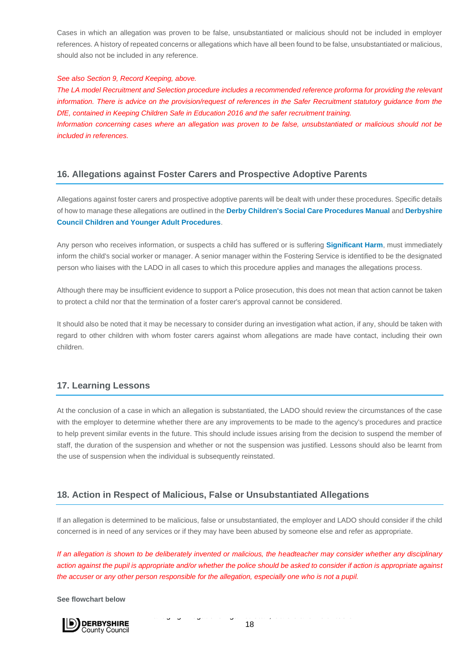Cases in which an allegation was proven to be false, unsubstantiated or malicious should not be included in employer references. A history of repeated concerns or allegations which have all been found to be false, unsubstantiated or malicious, should also not be included in any reference.

#### *See also Section 9, Record Keeping, above.*

*included in references.*

*The LA model Recruitment and Selection procedure includes a recommended reference proforma for providing the relevant information. There is advice on the provision/request of references in the Safer Recruitment statutory quidance from the DfE, contained in Keeping Children Safe in Education 2016 and the safer recruitment training. Information concerning cases where an allegation was proven to be false, unsubstantiated or malicious should not be* 

### **16. Allegations against Foster Carers and Prospective Adoptive Parents**

Allegations against foster carers and prospective adoptive parents will be dealt with under these procedures. Specific details of how to manage these allegations are outlined in the **[Derby Children's Social Care Procedures Manual](http://derbycsc.proceduresonline.com/chapters/p_alleg_foster.html)** and **[Derbyshire](http://derbyshirecaya.proceduresonline.com/chapters/p_alleg_foster.html)  [Council Children and Younger Adult Procedures](http://derbyshirecaya.proceduresonline.com/chapters/p_alleg_foster.html)**.

Any person who receives information, or suspects a child has suffered or is suffering **[Significant Harm](http://trixresources.proceduresonline.com/nat_key/keywords/significant_harm.html)**, must immediately inform the child's social worker or manager. A senior manager within the Fostering Service is identified to be the designated person who liaises with the LADO in all cases to which this procedure applies and manages the allegations process.

Although there may be insufficient evidence to support a Police prosecution, this does not mean that action cannot be taken to protect a child nor that the termination of a foster carer's approval cannot be considered.

It should also be noted that it may be necessary to consider during an investigation what action, if any, should be taken with regard to other children with whom foster carers against whom allegations are made have contact, including their own children.

#### **17. Learning Lessons**

At the conclusion of a case in which an allegation is substantiated, the LADO should review the circumstances of the case with the employer to determine whether there are any improvements to be made to the agency's procedures and practice to help prevent similar events in the future. This should include issues arising from the decision to suspend the member of staff, the duration of the suspension and whether or not the suspension was justified. Lessons should also be learnt from the use of suspension when the individual is subsequently reinstated.

#### **18. Action in Respect of Malicious, False or Unsubstantiated Allegations**

If an allegation is determined to be malicious, false or unsubstantiated, the employer and LADO should consider if the child concerned is in need of any services or if they may have been abused by someone else and refer as appropriate.

*If an allegation is shown to be deliberately invented or malicious, the headteacher may consider whether any disciplinary action against the pupil is appropriate and/or whether the police should be asked to consider if action is appropriate against the accuser or any other person responsible for the allegation, especially one who is not a pupil.*

**See flowchart below**

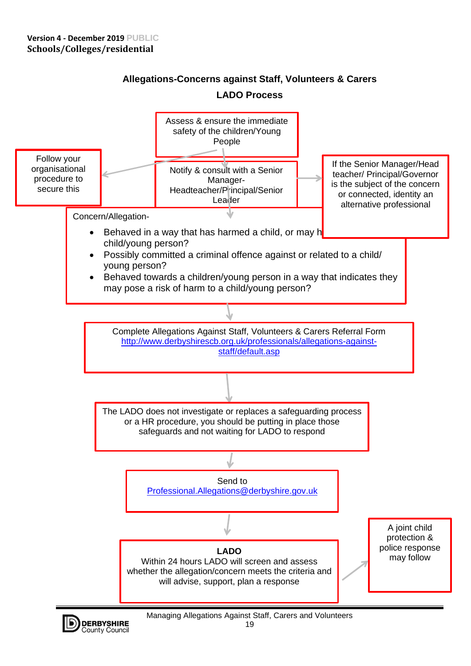**County Council** 



# **Allegations-Concerns against Staff, Volunteers & Carers LADO Process**